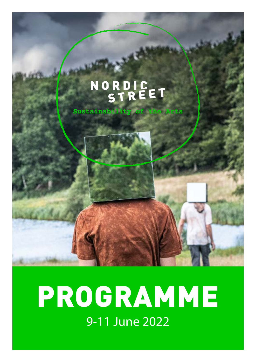# NORDIC<br>STREET

Sustainability of the Arts

## PROGRAMME 9-11 June 2022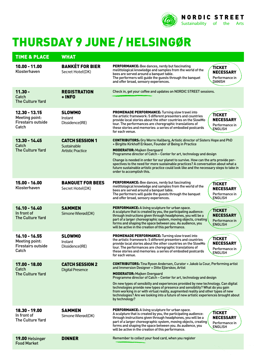

## THURSDAY 9 JUNE / HELSINGØR

| <b>TIME &amp; PLACE</b>                                                        | <b>WHAT</b>                                                       |                                                                                                                                                                                                                                                                                                                                                                                                                                                                                                                                                                                                                            |
|--------------------------------------------------------------------------------|-------------------------------------------------------------------|----------------------------------------------------------------------------------------------------------------------------------------------------------------------------------------------------------------------------------------------------------------------------------------------------------------------------------------------------------------------------------------------------------------------------------------------------------------------------------------------------------------------------------------------------------------------------------------------------------------------------|
| $10.00 - 11.00$<br>Klosterhaven                                                | <b>BANKÉT FOR BIER</b><br>Secret Hotel(DK)                        | PERFORMANCE: Bee dances, nerdy but fascinating<br>TICKET<br>melittological knowledge and samples from the world of the<br><b>NECESSARY</b><br>bees are served around a banquet table.<br>The performers will guide the guests through the banquet<br>Performance in<br>and offer broad, sensory experiences.<br>DANISH                                                                                                                                                                                                                                                                                                     |
| $11.30 -$<br>Catch<br><b>The Culture Yard</b>                                  | <b>REGISTRATION</b><br>+ INFO                                     | Check in, get your coffee and updates on NORDIC STREET sessions.                                                                                                                                                                                                                                                                                                                                                                                                                                                                                                                                                           |
| 12.30 - 13.15<br>Meeting point:<br><b>Firestairs outside</b><br>Catch          | <b>SLOWMO</b><br>Instant<br>Dissidence(IRE)                       | <b>PROMENADE PERFORMANCE:</b> Turning slow travel into<br><b>TICKET</b><br>the artistic framework: 5 different presenters and countries<br><b>NECESSARY</b><br>provide local stories about the other countries on the SlowMo<br>tour. The performances are choregraphic translations of<br>Performance in<br>these stories and memories: a series of embodied postcards<br>ENGLISH<br>for each venue.                                                                                                                                                                                                                      |
| $13.30 - 14.45$<br>Catch<br><b>The Culture Yard</b>                            | <b>CATCH SESSION 1</b><br>Sustainable<br><b>Artistic Practice</b> | <b>CONTRIBUTORS:</b> Gry Worre Hallberg, Artistic director of Sisters Hope and PhD<br>+ Birgitte Kirkhoff Eriksen, Founder of Being in Practice<br><b>MODERATOR: Majken Overgaard</b><br>Programme director of Catch - Center for art, technology and design<br>Change is needed in order for our planet to survive. How can the arts provide per-<br>spectives to the need for more sustainable practices? A conversation about what a<br>future sustainable artistic practice could look like and the necessary steps to take in<br>order to accomplish this.                                                            |
| $15.00 - 16.00$<br>Klosterhaven                                                | <b>BANQUET FOR BEES</b><br>Secret Hotel(DK)                       | <b>PERFORMANCE:</b> Bee dances, nerdy but fascinating<br>TICKET<br>melittological knowledge and samples from the world of the<br><b>NECESSARY</b><br>bees are served around a banquet table.<br>The performers will guide the guests through the banquet<br>Performance in<br>and offer broad, sensory experiences.<br><b>ENGLISH</b>                                                                                                                                                                                                                                                                                      |
| $16.10 - 16.40$<br>In front of<br><b>The Culture Yard</b>                      | <b>SAMMEN</b><br>Simone Wierød(DK)                                | <b>PERFORMANCE:</b> A living sculpture for urban space.<br>TICKET<br>A sculpture that is created by you, the participating audience:<br><b>NECESSARY</b><br>through instructions given through headphones, you will be a<br>part of a larger choreographic system, moving objects, creating<br>Performance in<br>forms and shaping the space between you. As audience, you<br><b>ENGLISH</b><br>will be active in the creation of this performance.                                                                                                                                                                        |
| $16.10 - 16.55$<br><b>Meeting point:</b><br><b>Firestairs outside</b><br>Catch | <b>SLOWMO</b><br>Instant<br>Dissidence(IRE)                       | PROMENADE PERFORMANCE: Turning slow travel into<br>TICKET<br>the artistic framework: 5 different presenters and countries<br><b>NECESSARY</b><br>provide local stories about the other countries on the SlowMo<br>tour. The performances are choregraphic translations of<br>Performance in<br>these stories and memories: a series of embodied postcards<br><b>ENGLISH</b><br>for each venue.                                                                                                                                                                                                                             |
| 17.00 - 18.00<br>Catch<br><b>The Culture Yard</b>                              | <b>CATCH SESSION 2</b><br><b>Digital Presence</b>                 | <b>CONTRIBUTORS:</b> Tina Ryoon Andersen, Curator + Jakob la Cour, Performing artist<br>and Immersion Designer + Ditte Ejlerskov, Artist<br><b>MODERATOR: Majken Overgaard</b><br>Programme director of Catch – Center for art, technology and design<br>On new types of sensibilty and experiences provided by new technology. Can digital<br>technologies provide new types of presence and sensibility? What do you gain<br>from working in or with virtual reality, augmented reality and other types of new<br>technologies? Are we looking into a future of new artistic experiences brought about<br>by technology? |
| 18.30 - 19.00<br>In front of<br><b>The Culture Yard</b>                        | <b>SAMMEN</b><br>Simone Wierød(DK)                                | <b>PERFORMANCE:</b> A living sculpture for urban space.<br>TICKET<br>A sculpture that is created by you, the participating audience:<br><b>NECESSARY</b><br>through instructions given through headphones, you will be a<br>part of a larger choreographic system, moving objects, creating<br>Performance in<br>forms and shaping the space between you. As audience, you<br><b>ENGLISH</b><br>will be active in the creation of this performance.                                                                                                                                                                        |
| 19.00 Helsingør<br><b>Food Market</b>                                          | <b>DINNER</b>                                                     | Remember to collect your food card, when you register                                                                                                                                                                                                                                                                                                                                                                                                                                                                                                                                                                      |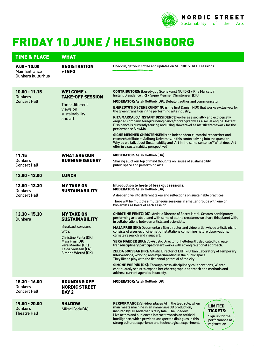

## FRIDAY 10 JUNE / HELSINGBORG

| <b>TIME &amp; PLACE</b>                                     | <b>WHAT</b>                                                                                                                                                                                |                                                                                                                                                                                                                                                                                                                                                                                                                                                                                                                                                                                                                                                                                                                                                                                                                                                                                                                                                                                                                                                  |
|-------------------------------------------------------------|--------------------------------------------------------------------------------------------------------------------------------------------------------------------------------------------|--------------------------------------------------------------------------------------------------------------------------------------------------------------------------------------------------------------------------------------------------------------------------------------------------------------------------------------------------------------------------------------------------------------------------------------------------------------------------------------------------------------------------------------------------------------------------------------------------------------------------------------------------------------------------------------------------------------------------------------------------------------------------------------------------------------------------------------------------------------------------------------------------------------------------------------------------------------------------------------------------------------------------------------------------|
| $9.00 - 10.00$<br><b>Main Entrance</b><br>Dunkers kulturhus | <b>REGISTRATION</b><br>+ INFO                                                                                                                                                              | Check in, get your coffee and updates on NORDIC STREET sessions.                                                                                                                                                                                                                                                                                                                                                                                                                                                                                                                                                                                                                                                                                                                                                                                                                                                                                                                                                                                 |
| $10.00 - 11.15$<br><b>Dunkers</b><br><b>Concert Hall</b>    | WELCOME +<br><b>TAKE-OFF SESSION</b><br>Three different<br>views on<br>sustainability<br>and art                                                                                           | <b>CONTRIBUTORS:</b> Bæredygtig Scenekunst NU (DK) + Rita Marcalo /<br>Instant Dissidence (IR) + Signe Meisner Christensen (DK)<br><b>MODERATOR:</b> Aslak Gottlieb (DK), Debator, author and communicator<br><b>BÆREDYGTIG SCENEKUNST NU</b> is the first Danish NGO that works exclusively for<br>the green transition in the performing arts industry.<br>RITA MARCALO / INSTANT DISSIDENCE works as a socially- and ecologically<br>engaged company, foregrounding dance/choreography as a social engine. Instant<br>Dissidence is currently touring and using slow travel as artistic framework for the<br>performance SlowMo.<br><b>SIGNE MEISNER CHRISTENSEN</b> is an independent curatorial researcher and<br>research affiliate at Aalborg University. In this context diving into the question:<br>Why do we talk about Sustainability and Art in the same sentence? What does Art<br>offer in a sustainability perspective?                                                                                                          |
| 11.15<br><b>Dunkers</b><br><b>Concert Hall</b>              | <b>WHAT ARE OUR</b><br><b>BURNING ISSUES?</b>                                                                                                                                              | <b>MODERATOR: Aslak Gottlieb (DK)</b><br>Sharing all of our top of mind thoughts on issues of sustainability,<br>public space and performing arts.                                                                                                                                                                                                                                                                                                                                                                                                                                                                                                                                                                                                                                                                                                                                                                                                                                                                                               |
| 12.00 - 13.00                                               | <b>LUNCH</b>                                                                                                                                                                               |                                                                                                                                                                                                                                                                                                                                                                                                                                                                                                                                                                                                                                                                                                                                                                                                                                                                                                                                                                                                                                                  |
| 13.00 - 13.30<br><b>Dunkers</b><br><b>Concert Hall</b>      | <b>MY TAKE ON</b><br><b>SUSTAINABILITY</b>                                                                                                                                                 | Introduction to hosts of breakout sessions.<br><b>MODERATOR: Aslak Gottlieb (DK)</b><br>A deeper dive into different takes and reflections on sustainable practices.<br>There will be multiple simultaneous sessions in smaller groups with one or<br>two artists as hosts of each session.                                                                                                                                                                                                                                                                                                                                                                                                                                                                                                                                                                                                                                                                                                                                                      |
| $13.30 - 15.30$<br><b>Dunkers</b>                           | <b>MY TAKE ON</b><br><b>SUSTAINABILITY</b><br>Breakout sessions<br>with:<br><b>Christine Fentz (DK)</b><br>Maja Friis (DK)<br>Vera Maeder (DK)<br>Zelda Soussan (FR)<br>Simone Wierød (DK) | <b>CHRISTINE FENTZ (DK):</b> Artistic Director of Secret Hotel. Creates participatory<br>performing arts about and with some of all the creatures we share this planet with,<br>in collaborations between artists and scientists.<br><b>MAJA FRIIS (DK):</b> Documentary film director and video artist whose artistic niche<br>consists of a series of cinematic installations combining nature observations,<br>climate research and visual art.<br><b>VERA MAEDER (DK):</b> Co-Artistic Director of hello!earth, dedicated to create<br>transdisciplinary participatory art works with strong relational approach.<br><b>ZELDA SOUSSAN (FR): Artistic Director of LUIT - Urban Laboratory of Temporary</b><br>Interventions, working and experimenting in the public space.<br>They like to play with the fictionnal potential of the city.<br><b>SIMONE WIERØD (DK):</b> Through cross-disciplinary collaborations, Wierød<br>continuously seeks to expand her choreographic approach and methods and<br>address current agendas in society. |
| $15.30 - 16.00$<br><b>Dunkers</b><br><b>Concert Hall</b>    | <b>ROUNDING OFF</b><br><b>NORDIC STREET</b><br>DAY <sub>2</sub>                                                                                                                            | <b>MODERATOR: Aslak Gottlieb (DK)</b>                                                                                                                                                                                                                                                                                                                                                                                                                                                                                                                                                                                                                                                                                                                                                                                                                                                                                                                                                                                                            |
| 19.00 - 20.00<br><b>Dunkers</b><br><b>Theatre Hall</b>      | SH4DOW<br>Mikael Fock(DK)                                                                                                                                                                  | <b>PERFORMANCE:</b> Sh4dow places AI in the lead role, when<br><b>LIMITED</b><br>man meets machine in an immersive 3D production,<br><b>TICKETS:</b><br>inspired by HC Andersen's fairy tale "The Shadow".<br>Live actors and audiences interact towards an artificial<br>Sign up for the<br>intelligence, which provides unexpected dialogues in this<br>performance at<br>strong cultural experience and technological experiment.<br>registration                                                                                                                                                                                                                                                                                                                                                                                                                                                                                                                                                                                             |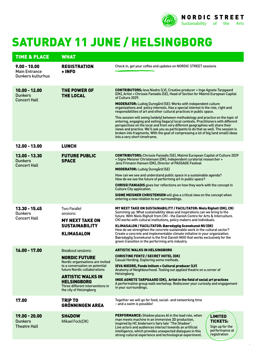

## SATURDAY 11 JUNE / HELSINGBORG

| <b>TIME &amp; PLACE</b>                                     | <b>WHAT</b>                                                                                                                                                                                                                                                              |                                                                                                                                                                                                                                                                                                                                                                                                                                                                                                                                                                                                                                                                                                                                                                                                                                                                                                         |
|-------------------------------------------------------------|--------------------------------------------------------------------------------------------------------------------------------------------------------------------------------------------------------------------------------------------------------------------------|---------------------------------------------------------------------------------------------------------------------------------------------------------------------------------------------------------------------------------------------------------------------------------------------------------------------------------------------------------------------------------------------------------------------------------------------------------------------------------------------------------------------------------------------------------------------------------------------------------------------------------------------------------------------------------------------------------------------------------------------------------------------------------------------------------------------------------------------------------------------------------------------------------|
| $9.00 - 10.00$<br><b>Main Entrance</b><br>Dunkers kulturhus | <b>REGISTRATION</b><br>+ INFO                                                                                                                                                                                                                                            | Check in, get your coffee and updates on NORDIC STREET sessions                                                                                                                                                                                                                                                                                                                                                                                                                                                                                                                                                                                                                                                                                                                                                                                                                                         |
| $10.00 - 12.00$<br><b>Dunkers</b><br><b>Concert Hall</b>    | THE POWER OF<br><b>THE LOCAL</b>                                                                                                                                                                                                                                         | <b>CONTRIBUTORS:</b> leva Niedre (LV), Creative producer + Inge Agnete Tarpgaard<br>(DK), Artist + Chrissie Faniadis (SE), Head of Section for Malmö European Capital<br>of Culture 2029.<br>MODERATOR: Ludvig Duregård (SE): Works with independent culture<br>organizations and policy interests. Has a special interest in the role, right and<br>responsibilities of art and other cultural practices in public space.<br>This session will swing (widely) between methodology and practice on the topic of<br>entering, engaging and exiting (legacy) local contexts. Practitioners with different<br>perspectives on the local and from very different geographies will share their<br>views and practice. We'll ask you as participants to do that as well. The session is<br>broken into fragments. With the goal of compressing a lot of big (and small) ideas<br>into a very short timeframe. |
| 12.00 - 13.00                                               | <b>LUNCH</b>                                                                                                                                                                                                                                                             |                                                                                                                                                                                                                                                                                                                                                                                                                                                                                                                                                                                                                                                                                                                                                                                                                                                                                                         |
| 13.00 - 13.30<br><b>Dunkers</b><br><b>Concert Hall</b>      | <b>FUTURE PUBLIC</b><br><b>SPACE</b>                                                                                                                                                                                                                                     | <b>CONTRIBUTORS:</b> Chrissie Faniadis (SE), Malmö European Capital of Culture 2029<br>+ Signe Meisner Christensen (DK), Independent curatorial researcher +<br>Jens Frimann Hansen (DK), Director of PASSAGE Festival<br><b>MODERATOR:</b> Ludvig Duregård (SE)<br>How can we see and understand public space in a sustainable agenda?<br>How do we see the future of performing art in public space?<br><b>CHRISSI FANIADIS</b> gives her reflections on how they work with the concept in<br>Culture City application.<br><b>SIGNE MEISNER CHRISTENSEN</b> will give a critical view on the concept when<br>entering a new relation to our surroundings.                                                                                                                                                                                                                                             |
| 13.30 - 15.45<br><b>Dunkers</b><br><b>Concert Hall</b>      | <b>Two Parallel</b><br>sessions:<br><b>MY NEXT TAKE ON</b><br><b>SUSTAINABILITY</b><br><b>KLIMASALON</b>                                                                                                                                                                 | MY NEXT TAKE ON SUSTAINABILITY / FACILITATOR: Niels Righolt (DK), CKI<br>Summing up: What sustainability ideas and inspirations can we bring to the<br>future. With Niels Righolt from CKI - the Danish Centre for Arts & Interculture.<br>CKI works with cultural institutions, policy makers and individuals<br>KLIMASALON / FACILITATOR: Bæredygtig Scenekunst NU (DK)<br>How do we strengthen the concrete sustainable work in the cultural sector?<br>Create a concrete and implementable climate initiative in your organization.<br>Bæredygtig Scenekunst is the first Danish NGO that works exclusively for the<br>green transition in the performing arts industry.                                                                                                                                                                                                                            |
| $16.00 - 17.00$                                             | <b>Breakout sessions:</b><br><b>NORDIC FUTURE</b><br>Nordic organisations are invited<br>to a conversation on potential<br>future Nordic collaborations<br><b>ARTISTIC WALKS IN</b><br><b>HELSINGBORG</b><br>Three different interventions in<br>the city of Helsingborg | <b>ARTISTIC WALKS IN HELSINGBORG</b><br><b>CHRISTINE FENTZ / SECRET HOTEL (DK)</b><br>Casual Herding. Exploring some methods.<br>IEVA NIEDRE, Fonds Initium + Cultural producer (LV)<br>Anatomy of Neighbourhood. Testing out applied theatre on a corner of<br>Helsingborg.<br>INGE AGNETE TARPGAARD (DK), Artist in the field of social art practices<br>A performative group walk workshop. Rediscover your curiosity and engagement<br>in your surroundings.                                                                                                                                                                                                                                                                                                                                                                                                                                        |
| 17.00                                                       | <b>TRIP TO</b><br><b>GRÖNNINGEN AREA</b>                                                                                                                                                                                                                                 | Together we will go for food, social- and networking time<br>- and a swim is possible!                                                                                                                                                                                                                                                                                                                                                                                                                                                                                                                                                                                                                                                                                                                                                                                                                  |
| $19.00 - 20.00$<br><b>Dunkers</b><br><b>Theatre Hall</b>    | <b>SH4DOW</b><br>Mikael Fock(DK)                                                                                                                                                                                                                                         | <b>PERFORMANCE:</b> Sh4dow places AI in the lead role, when<br><b>LIMITED</b><br>man meets machine in an immersive 3D production,<br><b>TICKETS:</b><br>inspired by HC Andersen's fairy tale "The Shadow".<br>Sign up for the<br>Live actors and audiences interact towards an artificial<br>performance at<br>intelligence, which provides unexpected dialogues in this<br>registration<br>strong cultural experience and technological experiment.                                                                                                                                                                                                                                                                                                                                                                                                                                                    |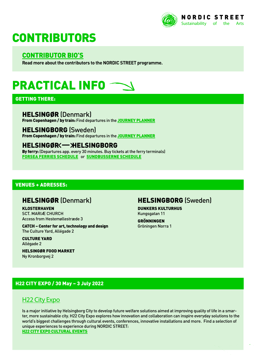

## **CONTRIBUTORS**

#### [CONTRIBUTOR BIO'S](https://passagefestival.nu/en/contributors-at-nordic-street/)

**Read more about the contributors to the NORDIC STREET programme.**

## PRACTICAL INFO

#### GETTING THERE:

#### HELSINGØR (Denmark)

From Copenhagen / by train: Find departures in the [JOURNEY PLANNER](https://www.rejseplanen.dk/webapp/index.html?language=en_EN#!P|TP!histId|0!histKey|H792972)

#### HELSINGBORG (Sweden)

From Copenhagen / by train: Find departures in the [JOURNEY PLANNER](https://www.rejseplanen.dk/webapp/index.html?language=en_EN#!P|TP!histId|0!histKey|H792972)

#### HELSINGØR - HELSINGBORG

By ferry: (Departures app. every 30 minutes. Buy tickets at the ferry terminals) [FORSEA FERRIES SCHEDULE](https://www.forseaferries.com/schedule/) or [SUNDBUSSERNE SCHEDULE](https://www.sundbusserne.dk/fartplan/)

#### VENUES + ADRESSES:

#### HELSINGØR (Denmark)

KLOSTERHAVEN SCT. MARIÆ CHURCH Access from Hestemøllestræde 3

CATCH – Center for art, technology and design The Culture Yard, Allégade 2

CULTURE YARD Allégade 2

HELSINGØR FOOD MARKET Ny Kronborgvej 2

#### HELSINGBORG (Sweden)

DUNKERS KULTURHUS Kungsgatan 11

**GRÖNNINGEN** Gröningen Norra 1

#### H22 CITY EXPO / 30 May – 3 July 2022

#### [H22 City Expo](https://www.h22cityexpo.com/)

Is a major initiative by Helsingborg City to develop future welfare solutions aimed at improving quality of life in a smarter, more sustainable city. H22 City Expo explores how innovation and collaboration can inspire everyday solutions to the world's biggest challenges through cultural events, conferences, innovative installations and more. Find a selection of unique experiences to experience during NORDIC STREET: [H22 CITY EXPO CULTURAL EVENTS](https://www.h22cityexpo.com/a-different-kind-of-cultural-experience?lang=en)